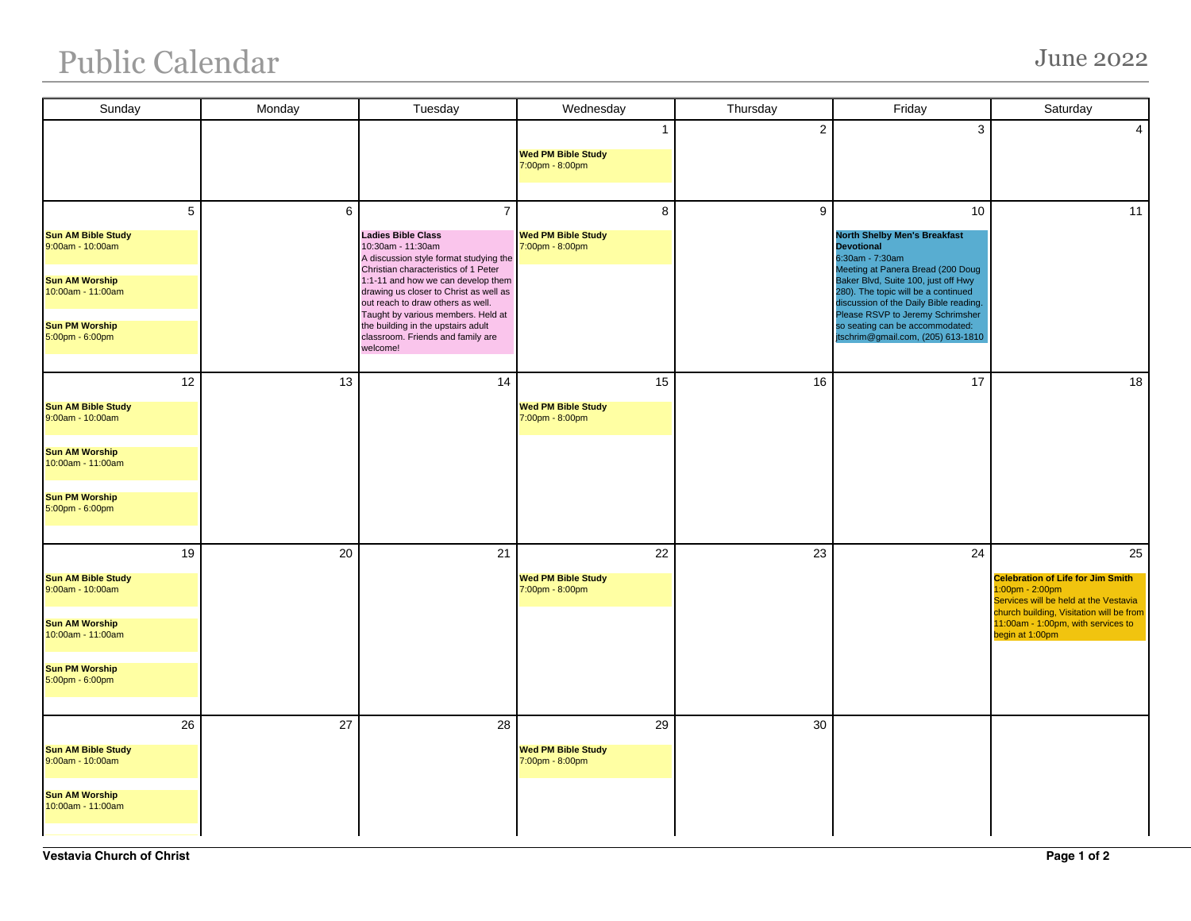## Public Calendar June 2022

| Sunday                                                                                                                                          | Monday | Tuesday                                                                                                                                                                                                                                                                                                                                                                                              | Wednesday                                                    | Thursday       | Friday                                                                                                                                                                                                                                                                                                                                                      | Saturday                                                                                                                                                                                                           |
|-------------------------------------------------------------------------------------------------------------------------------------------------|--------|------------------------------------------------------------------------------------------------------------------------------------------------------------------------------------------------------------------------------------------------------------------------------------------------------------------------------------------------------------------------------------------------------|--------------------------------------------------------------|----------------|-------------------------------------------------------------------------------------------------------------------------------------------------------------------------------------------------------------------------------------------------------------------------------------------------------------------------------------------------------------|--------------------------------------------------------------------------------------------------------------------------------------------------------------------------------------------------------------------|
|                                                                                                                                                 |        |                                                                                                                                                                                                                                                                                                                                                                                                      | $\mathbf{1}$<br><b>Wed PM Bible Study</b><br>7:00pm - 8:00pm | $\overline{2}$ | 3                                                                                                                                                                                                                                                                                                                                                           | $\overline{4}$                                                                                                                                                                                                     |
| 5<br><b>Sun AM Bible Study</b><br>9:00am - 10:00am<br><b>Sun AM Worship</b><br>10:00am - 11:00am<br><b>Sun PM Worship</b><br>5:00pm - 6:00pm    | 6      | $\overline{7}$<br><b>Ladies Bible Class</b><br>10:30am - 11:30am<br>A discussion style format studying the<br>Christian characteristics of 1 Peter<br>1:1-11 and how we can develop them<br>drawing us closer to Christ as well as<br>out reach to draw others as well.<br>Taught by various members. Held at<br>the building in the upstairs adult<br>classroom. Friends and family are<br>welcome! | 8<br><b>Wed PM Bible Study</b><br>7:00pm - 8:00pm            | 9              | 10<br><b>North Shelby Men's Breakfast</b><br><b>Devotional</b><br>6:30am - 7:30am<br>Meeting at Panera Bread (200 Doug<br>Baker Blvd, Suite 100, just off Hwy<br>280). The topic will be a continued<br>discussion of the Daily Bible reading.<br>Please RSVP to Jeremy Schrimsher<br>so seating can be accommodated:<br>jtschrim@gmail.com, (205) 613-1810 | 11                                                                                                                                                                                                                 |
| 12<br><b>Sun AM Bible Study</b><br>$9:00am - 10:00am$<br><b>Sun AM Worship</b><br>10:00am - 11:00am<br><b>Sun PM Worship</b><br>5:00pm - 6:00pm | 13     | 14                                                                                                                                                                                                                                                                                                                                                                                                   | 15<br><b>Wed PM Bible Study</b><br>7:00pm - 8:00pm           | 16             | 17                                                                                                                                                                                                                                                                                                                                                          | 18                                                                                                                                                                                                                 |
| 19<br><b>Sun AM Bible Study</b><br>9:00am - 10:00am<br><b>Sun AM Worship</b><br>10:00am - 11:00am<br><b>Sun PM Worship</b><br>5:00pm - 6:00pm   | 20     | 21                                                                                                                                                                                                                                                                                                                                                                                                   | 22<br><b>Wed PM Bible Study</b><br>7:00pm - 8:00pm           | 23             | 24                                                                                                                                                                                                                                                                                                                                                          | 25<br><b>Celebration of Life for Jim Smith</b><br>$1:00$ pm - 2:00pm<br>Services will be held at the Vestavia<br>church building, Visitation will be from<br>11:00am - 1:00pm, with services to<br>begin at 1:00pm |
| 26<br><b>Sun AM Bible Study</b><br>9:00am - 10:00am<br><b>Sun AM Worship</b><br>10:00am - 11:00am                                               | 27     | 28                                                                                                                                                                                                                                                                                                                                                                                                   | 29<br><b>Wed PM Bible Study</b><br>7:00pm - 8:00pm           | 30             |                                                                                                                                                                                                                                                                                                                                                             |                                                                                                                                                                                                                    |